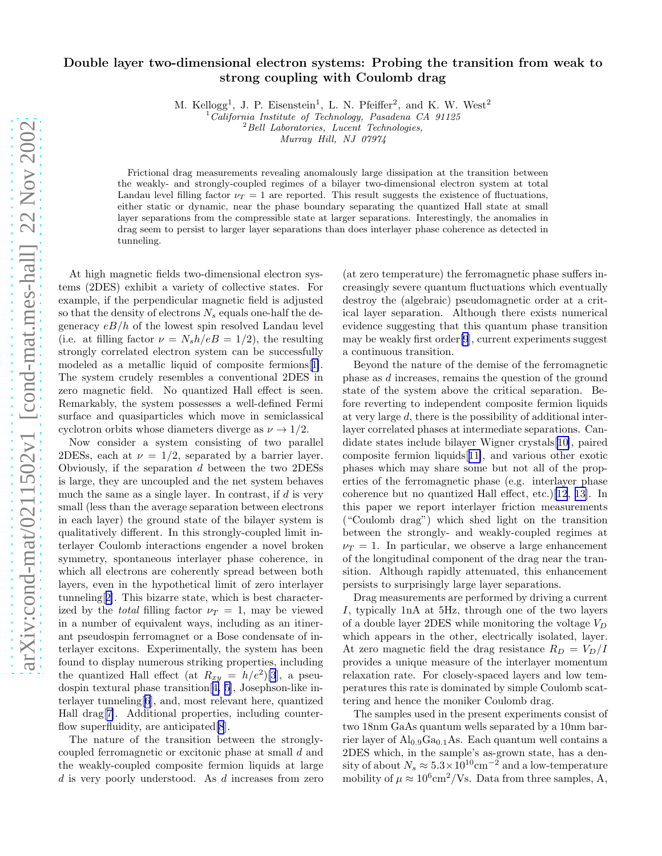## Double layer two-dimensional electron systems: Probing the transition from weak to strong coupling with Coulomb drag

M. Kellogg<sup>1</sup>, J. P. Eisenstein<sup>1</sup>, L. N. Pfeiffer<sup>2</sup>, and K. W. West<sup>2</sup>

 $1$  California Institute of Technology, Pasadena CA 91125  $^{2}$ Bell Laboratories, Lucent Technologies,

Murray Hill, NJ 07974

Frictional drag measurements revealing anomalously large dissipation at the transition between the weakly- and strongly-coupled regimes of a bilayer two-dimensional electron system at total Landau level filling factor  $\nu_T = 1$  are reported. This result suggests the existence of fluctuations, either static or dynamic, near the phase boundary separating the quantized Hall state at small layer separations from the compressible state at larger separations. Interestingly, the anomalies in drag seem to persist to larger layer separations than does interlayer phase coherence as detected in tunneling.

At high magnetic fields two-dimensional electron systems (2DES) exhibit a variety of collective states. For example, if the perpendicular magnetic field is adjusted so that the density of electrons  $N_s$  equals one-half the degeneracy  $eB/h$  of the lowest spin resolved Landau level (i.e. at filling factor  $\nu = N_s h/eB = 1/2$ ), the resulting strongly correlated electron system can be successfully modeled as a metallic liquid of composite fermions[[1\]](#page-3-0). The system crudely resembles a conventional 2DES in zero magnetic field. No quantized Hall effect is seen. Remarkably, the system possesses a well-defined Fermi surface and quasiparticles which move in semiclassical cyclotron orbits whose diameters diverge as  $\nu \rightarrow 1/2$ .

Now consider a system consisting of two parallel 2DESs, each at  $\nu = 1/2$ , separated by a barrier layer. Obviously, if the separation  $d$  between the two 2DESs is large, they are uncoupled and the net system behaves much the same as a single layer. In contrast, if  $d$  is very small (less than the average separation between electrons in each layer) the ground state of the bilayer system is qualitatively different. In this strongly-coupled limit interlayer Coulomb interactions engender a novel broken symmetry, spontaneous interlayer phase coherence, in which all electrons are coherently spread between both layers, even in the hypothetical limit of zero interlayer tunneling[[2\]](#page-3-0). This bizarre state, which is best characterized by the *total* filling factor  $\nu_T = 1$ , may be viewed in a number of equivalent ways, including as an itinerant pseudospin ferromagnet or a Bose condensate of interlayer excitons. Experimentally, the system has been found to display numerous striking properties, including the quantized Hall effect (at  $R_{xy} = h/e^2$ )[\[3](#page-3-0)], a pseudospin textural phase transition[[4, 5\]](#page-3-0), Josephson-like interlayer tunneling[\[6](#page-3-0)], and, most relevant here, quantized Hall drag[[7\]](#page-3-0). Additional properties, including counterflow superfluidity, are anticipated[\[8](#page-3-0)].

The nature of the transition between the stronglycoupled ferromagnetic or excitonic phase at small d and the weakly-coupled composite fermion liquids at large d is very poorly understood. As d increases from zero

(at zero temperature) the ferromagnetic phase suffers increasingly severe quantum fluctuations which eventually destroy the (algebraic) pseudomagnetic order at a critical layer separation. Although there exists numerical evidence suggesting that this quantum phase transition may be weakly first order[\[9](#page-3-0)], current experiments suggest a continuous transition.

Beyond the nature of the demise of the ferromagnetic phase as d increases, remains the question of the ground state of the system above the critical separation. Before reverting to independent composite fermion liquids at very large d, there is the possibility of additional interlayer correlated phases at intermediate separations. Candidate states include bilayer Wigner crystals[[10\]](#page-3-0), paired composite fermion liquids[[11\]](#page-3-0), and various other exotic phases which may share some but not all of the properties of the ferromagnetic phase (e.g. interlayer phase coherence but no quantized Hall effect, etc.)[\[12](#page-3-0), [13\]](#page-3-0). In this paper we report interlayer friction measurements ("Coulomb drag") which shed light on the transition between the strongly- and weakly-coupled regimes at  $\nu_T = 1$ . In particular, we observe a large enhancement of the longitudinal component of the drag near the transition. Although rapidly attenuated, this enhancement persists to surprisingly large layer separations.

Drag measurements are performed by driving a current I, typically 1nA at 5Hz, through one of the two layers of a double layer 2DES while monitoring the voltage  $V_D$ which appears in the other, electrically isolated, layer. At zero magnetic field the drag resistance  $R_D = V_D/I$ provides a unique measure of the interlayer momentum relaxation rate. For closely-spaced layers and low temperatures this rate is dominated by simple Coulomb scattering and hence the moniker Coulomb drag.

The samples used in the present experiments consist of two 18nm GaAs quantum wells separated by a 10nm barrier layer of  $Al_{0.9}Ga_{0.1}As$ . Each quantum well contains a 2DES which, in the sample's as-grown state, has a density of about  $N_s \approx 5.3 \times 10^{10} \text{cm}^{-2}$  and a low-temperature mobility of  $\mu \approx 10^6 \text{cm}^2/\text{Vs}$ . Data from three samples, A,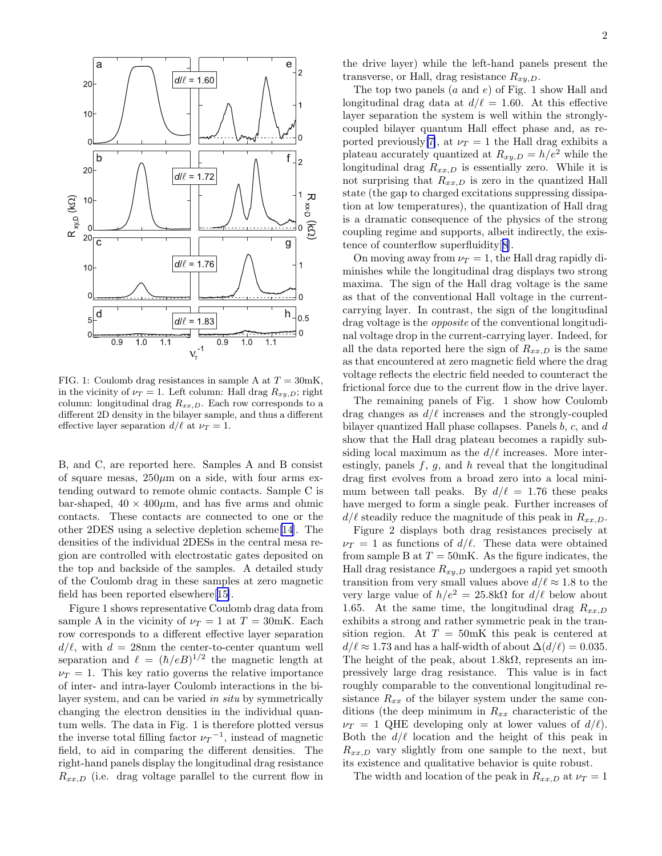

FIG. 1: Coulomb drag resistances in sample A at  $T = 30$ mK, in the vicinity of  $\nu_T = 1$ . Left column: Hall drag  $R_{xy,D}$ ; right column: longitudinal drag  $R_{xx,D}$ . Each row corresponds to a different 2D density in the bilayer sample, and thus a different effective layer separation  $d/\ell$  at  $\nu_T = 1$ .

B, and C, are reported here. Samples A and B consist of square mesas,  $250\mu m$  on a side, with four arms extending outward to remote ohmic contacts. Sample C is bar-shaped,  $40 \times 400 \mu m$ , and has five arms and ohmic contacts. These contacts are connected to one or the other 2DES using a selective depletion scheme[[14\]](#page-3-0). The densities of the individual 2DESs in the central mesa region are controlled with electrostatic gates deposited on the top and backside of the samples. A detailed study of the Coulomb drag in these samples at zero magnetic field has been reported elsewhere[[15\]](#page-3-0).

Figure 1 shows representative Coulomb drag data from sample A in the vicinity of  $\nu_T = 1$  at  $T = 30$ mK. Each row corresponds to a different effective layer separation  $d/\ell$ , with  $d = 28$ nm the center-to-center quantum well separation and  $\ell = (\hbar/eB)^{1/2}$  the magnetic length at  $\nu_T = 1$ . This key ratio governs the relative importance of inter- and intra-layer Coulomb interactions in the bilayer system, and can be varied in situ by symmetrically changing the electron densities in the individual quantum wells. The data in Fig. 1 is therefore plotted versus the inverse total filling factor  $\nu_T$ <sup>-1</sup>, instead of magnetic field, to aid in comparing the different densities. The right-hand panels display the longitudinal drag resistance  $R_{xx,D}$  (i.e. drag voltage parallel to the current flow in

the drive layer) while the left-hand panels present the transverse, or Hall, drag resistance  $R_{xy,D}$ .

The top two panels  $(a \text{ and } e)$  of Fig. 1 show Hall and longitudinal drag data at  $d/\ell = 1.60$ . At this effective layer separation the system is well within the stronglycoupled bilayer quantum Hall effect phase and, as re-ported previously [\[7\]](#page-3-0), at  $\nu_T = 1$  the Hall drag exhibits a plateau accurately quantized at  $R_{xy,D} = h/e^2$  while the longitudinal drag  $R_{xx,D}$  is essentially zero. While it is not surprising that  $R_{xx,D}$  is zero in the quantized Hall state (the gap to charged excitations suppressing dissipation at low temperatures), the quantization of Hall drag is a dramatic consequence of the physics of the strong coupling regime and supports, albeit indirectly, the existence of counterflow superfluidity[[8\]](#page-3-0).

On moving away from  $\nu_T = 1$ , the Hall drag rapidly diminishes while the longitudinal drag displays two strong maxima. The sign of the Hall drag voltage is the same as that of the conventional Hall voltage in the currentcarrying layer. In contrast, the sign of the longitudinal drag voltage is the opposite of the conventional longitudinal voltage drop in the current-carrying layer. Indeed, for all the data reported here the sign of  $R_{xx,D}$  is the same as that encountered at zero magnetic field where the drag voltage reflects the electric field needed to counteract the frictional force due to the current flow in the drive layer.

The remaining panels of Fig. 1 show how Coulomb drag changes as  $d/\ell$  increases and the strongly-coupled bilayer quantized Hall phase collapses. Panels b, c, and d show that the Hall drag plateau becomes a rapidly subsiding local maximum as the  $d/\ell$  increases. More interestingly, panels  $f, g$ , and  $h$  reveal that the longitudinal drag first evolves from a broad zero into a local minimum between tall peaks. By  $d/\ell = 1.76$  these peaks have merged to form a single peak. Further increases of  $d/\ell$  steadily reduce the magnitude of this peak in  $R_{xx,D}$ .

Figure 2 displays both drag resistances precisely at  $\nu_T = 1$  as functions of  $d/\ell$ . These data were obtained from sample B at  $T = 50$ mK. As the figure indicates, the Hall drag resistance  $R_{xy,D}$  undergoes a rapid yet smooth transition from very small values above  $d/\ell \approx 1.8$  to the very large value of  $h/e^2 = 25.8k\Omega$  for  $d/\ell$  below about 1.65. At the same time, the longitudinal drag  $R_{xx,D}$ exhibits a strong and rather symmetric peak in the transition region. At  $T = 50$ mK this peak is centered at  $d/\ell \approx 1.73$  and has a half-width of about  $\Delta(d/\ell) = 0.035$ . The height of the peak, about  $1.8k\Omega$ , represents an impressively large drag resistance. This value is in fact roughly comparable to the conventional longitudinal resistance  $R_{xx}$  of the bilayer system under the same conditions (the deep minimum in  $R_{xx}$  characteristic of the  $\nu_T = 1$  QHE developing only at lower values of  $d/\ell$ . Both the  $d/\ell$  location and the height of this peak in  $R_{xx,D}$  vary slightly from one sample to the next, but its existence and qualitative behavior is quite robust.

The width and location of the peak in  $R_{xx,D}$  at  $\nu_T = 1$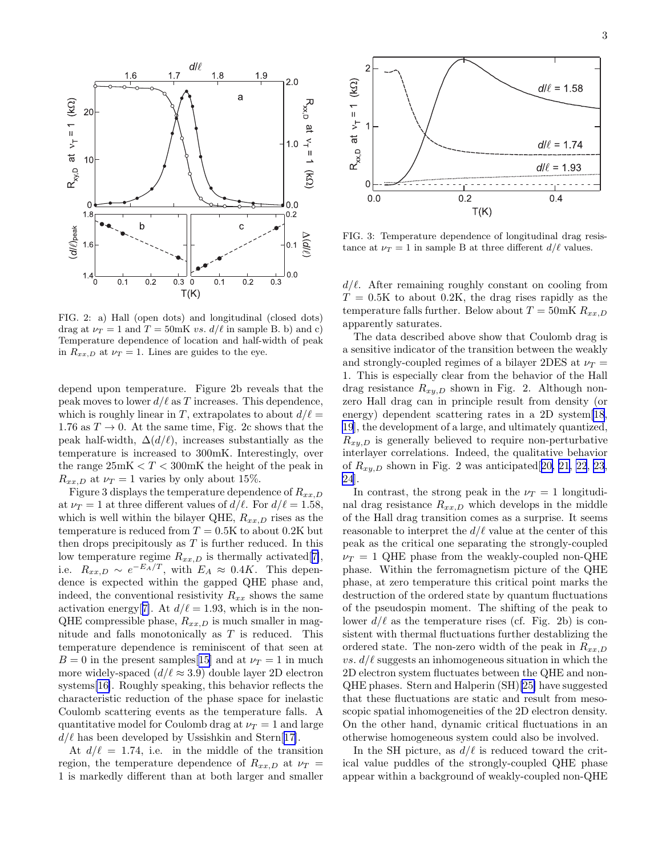

FIG. 2: a) Hall (open dots) and longitudinal (closed dots) drag at  $\nu_T = 1$  and  $T = 50$ mK vs.  $d/\ell$  in sample B. b) and c) Temperature dependence of location and half-width of peak in  $R_{xx,D}$  at  $\nu_T = 1$ . Lines are guides to the eye.

depend upon temperature. Figure 2b reveals that the peak moves to lower  $d/\ell$  as T increases. This dependence, which is roughly linear in T, extrapolates to about  $d/\ell =$ 1.76 as  $T \to 0$ . At the same time, Fig. 2c shows that the peak half-width,  $\Delta(d/\ell)$ , increases substantially as the temperature is increased to 300mK. Interestingly, over the range  $25mK < T < 300mK$  the height of the peak in  $R_{xx,D}$  at  $\nu_T = 1$  varies by only about 15%.

Figure 3 displays the temperature dependence of  $R_{xx,D}$ at  $\nu_T = 1$  at three different values of  $d/\ell$ . For  $d/\ell = 1.58$ , which is well within the bilayer QHE,  $R_{xx,D}$  rises as the temperature is reduced from  $T = 0.5K$  to about 0.2K but then drops precipitously as  $T$  is further reduced. In this low temperature regime  $R_{xx,D}$  is thermally activated[[7\]](#page-3-0), i.e.  $R_{xx,D} \sim e^{-E_A/T}$ , with  $E_A \approx 0.4K$ . This dependence is expected within the gapped QHE phase and, indeed, the conventional resistivity  $R_{xx}$  shows the same activation energy[[7\]](#page-3-0). At  $d/\ell = 1.93$ , which is in the non-QHE compressible phase,  $R_{xx,D}$  is much smaller in magnitude and falls monotonically as  $T$  is reduced. This temperature dependence is reminiscent of that seen at  $B = 0$  in the present samples [[15\]](#page-3-0) and at  $\nu_T = 1$  in much more widely-spaced  $(d/\ell \approx 3.9)$  double layer 2D electron systems[\[16\]](#page-3-0). Roughly speaking, this behavior reflects the characteristic reduction of the phase space for inelastic Coulomb scattering events as the temperature falls. A quantitative model for Coulomb drag at  $\nu_T = 1$  and large  $d/\ell$  has been developed by Ussishkin and Stern[[17\]](#page-3-0).

At  $d/\ell = 1.74$ , i.e. in the middle of the transition region, the temperature dependence of  $R_{xx,D}$  at  $\nu_T$  = 1 is markedly different than at both larger and smaller



FIG. 3: Temperature dependence of longitudinal drag resistance at  $\nu_T = 1$  in sample B at three different  $d/\ell$  values.

 $d/\ell$ . After remaining roughly constant on cooling from  $T = 0.5K$  to about 0.2K, the drag rises rapidly as the temperature falls further. Below about  $T = 50$ mK  $R_{xx,D}$ apparently saturates.

The data described above show that Coulomb drag is a sensitive indicator of the transition between the weakly and strongly-coupled regimes of a bilayer 2DES at  $\nu_T$  = 1. This is especially clear from the behavior of the Hall drag resistance  $R_{xy,D}$  shown in Fig. 2. Although nonzero Hall drag can in principle result from density (or energy) dependent scattering rates in a 2D system[\[18](#page-3-0), [19](#page-3-0)], the development of a large, and ultimately quantized,  $R_{xy,D}$  is generally believed to require non-perturbative interlayer correlations. Indeed, the qualitative behavior of  $R_{xy,D}$  shown in Fig. 2 was anticipated [[20, 21, 22](#page-3-0), [23](#page-3-0), [24](#page-3-0)].

In contrast, the strong peak in the  $\nu_T = 1$  longitudinal drag resistance  $R_{xx,D}$  which develops in the middle of the Hall drag transition comes as a surprise. It seems reasonable to interpret the  $d/\ell$  value at the center of this peak as the critical one separating the strongly-coupled  $\nu_T = 1$  QHE phase from the weakly-coupled non-QHE phase. Within the ferromagnetism picture of the QHE phase, at zero temperature this critical point marks the destruction of the ordered state by quantum fluctuations of the pseudospin moment. The shifting of the peak to lower  $d/\ell$  as the temperature rises (cf. Fig. 2b) is consistent with thermal fluctuations further destablizing the ordered state. The non-zero width of the peak in  $R_{xx,D}$ vs.  $d/\ell$  suggests an inhomogeneous situation in which the 2D electron system fluctuates between the QHE and non-QHE phases. Stern and Halperin (SH)[\[25\]](#page-3-0) have suggested that these fluctuations are static and result from mesoscopic spatial inhomogeneities of the 2D electron density. On the other hand, dynamic critical fluctuations in an otherwise homogeneous system could also be involved.

In the SH picture, as  $d/\ell$  is reduced toward the critical value puddles of the strongly-coupled QHE phase appear within a background of weakly-coupled non-QHE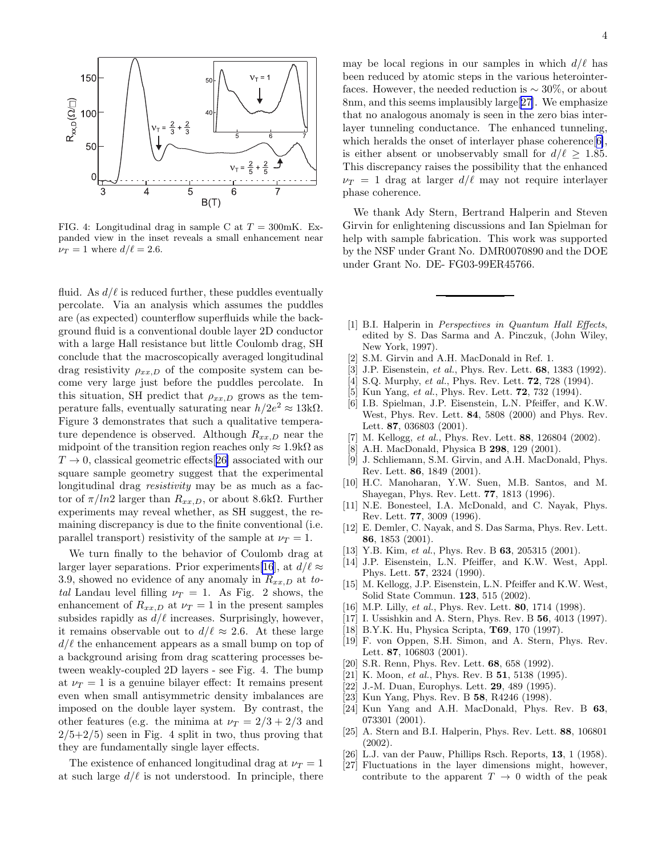<span id="page-3-0"></span>

FIG. 4: Longitudinal drag in sample C at  $T = 300$ mK. Expanded view in the inset reveals a small enhancement near  $\nu_T = 1$  where  $d/\ell = 2.6$ .

fluid. As  $d/\ell$  is reduced further, these puddles eventually percolate. Via an analysis which assumes the puddles are (as expected) counterflow superfluids while the background fluid is a conventional double layer 2D conductor with a large Hall resistance but little Coulomb drag, SH conclude that the macroscopically averaged longitudinal drag resistivity  $\rho_{xx,D}$  of the composite system can become very large just before the puddles percolate. In this situation, SH predict that  $\rho_{xx,D}$  grows as the temperature falls, eventually saturating near  $h/2e^2 \approx 13k\Omega$ . Figure 3 demonstrates that such a qualitative temperature dependence is observed. Although  $R_{xx,D}$  near the midpoint of the transition region reaches only  $\approx 1.9 \text{k}\Omega$  as  $T \rightarrow 0$ , classical geometric effects[26] associated with our square sample geometry suggest that the experimental longitudinal drag resistivity may be as much as a factor of  $\pi/ln2$  larger than  $R_{xx,D}$ , or about 8.6kΩ. Further experiments may reveal whether, as SH suggest, the remaining discrepancy is due to the finite conventional (i.e. parallel transport) resistivity of the sample at  $\nu_T = 1$ .

We turn finally to the behavior of Coulomb drag at larger layer separations. Prior experiments[16], at  $d/\ell \approx$ 3.9, showed no evidence of any anomaly in  $R_{xx,D}$  at total Landau level filling  $\nu_T = 1$ . As Fig. 2 shows, the enhancement of  $R_{xx,D}$  at  $\nu_T = 1$  in the present samples subsides rapidly as  $d/\ell$  increases. Surprisingly, however, it remains observable out to  $d/\ell \approx 2.6$ . At these large  $d/\ell$  the enhancement appears as a small bump on top of a background arising from drag scattering processes between weakly-coupled 2D layers - see Fig. 4. The bump at  $\nu_T = 1$  is a genuine bilayer effect: It remains present even when small antisymmetric density imbalances are imposed on the double layer system. By contrast, the other features (e.g. the minima at  $\nu_T = 2/3 + 2/3$  and  $2/5+2/5$  seen in Fig. 4 split in two, thus proving that they are fundamentally single layer effects.

The existence of enhanced longitudinal drag at  $\nu_T = 1$ at such large  $d/\ell$  is not understood. In principle, there may be local regions in our samples in which  $d/\ell$  has been reduced by atomic steps in the various heterointerfaces. However, the needed reduction is  $\sim 30\%$ , or about 8nm, and this seems implausibly large[27]. We emphasize that no analogous anomaly is seen in the zero bias interlayer tunneling conductance. The enhanced tunneling, which heralds the onset of interlayer phase coherence[6], is either absent or unobservably small for  $d/\ell \geq 1.85$ . This discrepancy raises the possibility that the enhanced  $\nu_T = 1$  drag at larger  $d/\ell$  may not require interlayer phase coherence.

We thank Ady Stern, Bertrand Halperin and Steven Girvin for enlightening discussions and Ian Spielman for help with sample fabrication. This work was supported by the NSF under Grant No. DMR0070890 and the DOE under Grant No. DE- FG03-99ER45766.

- [1] B.I. Halperin in *Perspectives in Quantum Hall Effects*, edited by S. Das Sarma and A. Pinczuk, (John Wiley, New York, 1997).
- [2] S.M. Girvin and A.H. MacDonald in Ref. 1. [3] J.P. Eisenstein,  $et$  al., Phys. Rev. Lett. **68**, 1
- J.P. Eisenstein, et al., Phys. Rev. Lett. 68, 1383 (1992).
- [4] S.Q. Murphy, et al., Phys. Rev. Lett. **72**, 728 (1994).
- [5] Kun Yang, et al., Phys. Rev. Lett. **72**, 732 (1994).
- [6] I.B. Spielman, J.P. Eisenstein, L.N. Pfeiffer, and K.W. West, Phys. Rev. Lett. 84, 5808 (2000) and Phys. Rev. Lett. 87, 036803 (2001).
- [7] M. Kellogg, et al., Phys. Rev. Lett. 88, 126804 (2002).
- [8] A.H. MacDonald, Physica B 298, 129 (2001).
- [9] J. Schliemann, S.M. Girvin, and A.H. MacDonald, Phys. Rev. Lett. 86, 1849 (2001).
- [10] H.C. Manoharan, Y.W. Suen, M.B. Santos, and M. Shayegan, Phys. Rev. Lett. 77, 1813 (1996).
- [11] N.E. Bonesteel, I.A. McDonald, and C. Nayak, Phys. Rev. Lett. 77, 3009 (1996).
- [12] E. Demler, C. Nayak, and S. Das Sarma, Phys. Rev. Lett. 86, 1853 (2001).
- [13] Y.B. Kim, et al., Phys. Rev. B 63, 205315 (2001).
- [14] J.P. Eisenstein, L.N. Pfeiffer, and K.W. West, Appl. Phys. Lett. 57, 2324 (1990).
- [15] M. Kellogg, J.P. Eisenstein, L.N. Pfeiffer and K.W. West, Solid State Commun. 123, 515 (2002).
- [16] M.P. Lilly, et al., Phys. Rev. Lett. **80**, 1714 (1998).
- [17] I. Ussishkin and A. Stern, Phys. Rev. B 56, 4013 (1997).
- [18] B.Y.K. Hu, Physica Scripta, T69, 170 (1997).
- [19] F. von Oppen, S.H. Simon, and A. Stern, Phys. Rev. Lett. 87, 106803 (2001).
- [20] S.R. Renn, Phys. Rev. Lett. 68, 658 (1992).
- [21] K. Moon, et al., Phys. Rev. B 51, 5138 (1995).
- [22] J.-M. Duan, Europhys. Lett. **29**, 489 (1995).
- [23] Kun Yang, Phys. Rev. B 58, R4246 (1998).
- [24] Kun Yang and A.H. MacDonald, Phys. Rev. B 63, 073301 (2001).
- [25] A. Stern and B.I. Halperin, Phys. Rev. Lett. 88, 106801 (2002).
- [26] L.J. van der Pauw, Phillips Rsch. Reports, 13, 1 (1958).
- [27] Fluctuations in the layer dimensions might, however, contribute to the apparent  $T \rightarrow 0$  width of the peak